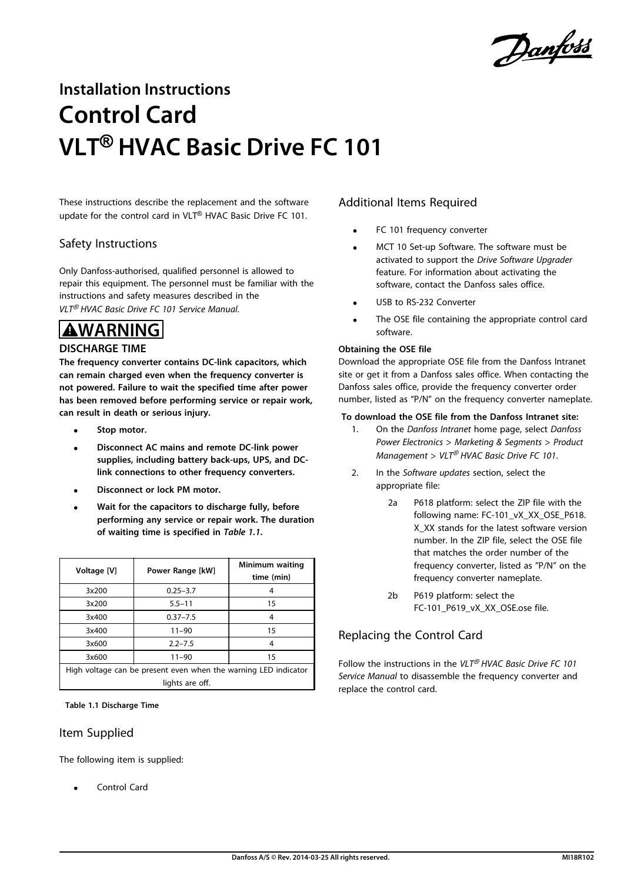Danfoss

# **Installation Instructions Control Card VLT**® **HVAC Basic Drive FC 101**

These instructions describe the replacement and the software update for the control card in VLT® HVAC Basic Drive FC 101.

#### Safety Instructions

Only Danfoss-authorised, qualified personnel is allowed to repair this equipment. The personnel must be familiar with the instructions and safety measures described in the VLT<sup>®</sup> HVAC Basic Drive FC 101 Service Manual.

# **WARNING**

#### **DISCHARGE TIME**

**The frequency converter contains DC-link capacitors, which can remain charged even when the frequency converter is not powered. Failure to wait the specified time after power has been removed before performing service or repair work, can result in death or serious injury.**

- **• Stop motor.**
- **• Disconnect AC mains and remote DC-link power supplies, including battery back-ups, UPS, and DClink connections to other frequency converters.**
- **• Disconnect or lock PM motor.**
- **• Wait for the capacitors to discharge fully, before performing any service or repair work. The duration of waiting time is specified in** *Table 1.1***.**

| Voltage [V] | Power Range [kW]                                                | Minimum waiting<br>time (min) |
|-------------|-----------------------------------------------------------------|-------------------------------|
| 3x200       | $0.25 - 3.7$                                                    | 4                             |
| 3x200       | $5.5 - 11$                                                      | 15                            |
| 3x400       | $0.37 - 7.5$                                                    | 4                             |
| 3x400       | $11 - 90$                                                       | 15                            |
| 3x600       | $2.2 - 7.5$                                                     | 4                             |
| 3x600       | $11 - 90$                                                       | 15                            |
|             | High voltage can be present even when the warning LED indicator |                               |
|             | lights are off.                                                 |                               |

**Table 1.1 Discharge Time**

#### Item Supplied

The following item is supplied:

**•** Control Card

### Additional Items Required

- **•** FC 101 frequency converter
- **•** MCT 10 Set-up Software. The software must be activated to support the Drive Software Upgrader feature. For information about activating the software, contact the Danfoss sales office.
- **•** USB to RS-232 Converter
- **•** The OSE file containing the appropriate control card software.

#### **Obtaining the OSE file**

Download the appropriate OSE file from the Danfoss Intranet site or get it from a Danfoss sales office. When contacting the Danfoss sales office, provide the frequency converter order number, listed as "P/N" on the frequency converter nameplate.

#### **To download the OSE file from the Danfoss Intranet site:**

- 1. On the Danfoss Intranet home page, select Danfoss Power Electronics > Marketing & Segments > Product Management >  $VLT^{\circledast}$  HVAC Basic Drive FC 101.
- 2. In the Software updates section, select the appropriate file:
	- 2a P618 platform: select the ZIP file with the following name: FC-101 vX XX OSE P618. X\_XX stands for the latest software version number. In the ZIP file, select the OSE file that matches the order number of the frequency converter, listed as "P/N" on the frequency converter nameplate.
	- 2b P619 platform: select the FC-101\_P619\_vX\_XX\_OSE.ose file.

## Replacing the Control Card

Follow the instructions in the VLT<sup>®</sup> HVAC Basic Drive FC 101 Service Manual to disassemble the frequency converter and replace the control card.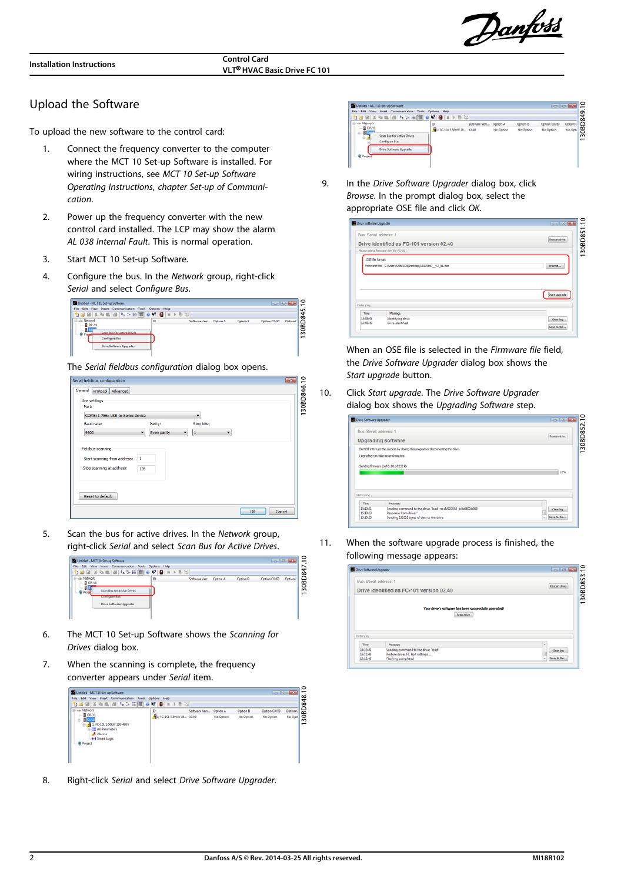Danfoss

**VLT**® **HVAC Basic Drive FC 101**

#### Upload the Software

To upload the new software to the control card:

- 1. Connect the frequency converter to the computer where the MCT 10 Set-up Software is installed. For wiring instructions, see MCT 10 Set-up Software Operating Instructions, chapter Set-up of Communication.
- 2. Power up the frequency converter with the new control card installed. The LCP may show the alarm AL 038 Internal Fault. This is normal operation.
- 3. Start MCT 10 Set-up Software.
- 4. Configure the bus. In the Network group, right-click Serial and select Configure Bus.



The Serial fieldbus configuration dialog box opens.

| Serial fieldbus configuration                                            | -93                      |
|--------------------------------------------------------------------------|--------------------------|
| General<br>Protocol Advanced                                             |                          |
| Line settings<br>Port:                                                   | 30BD846.10               |
| COM5: I-756x USB-to-Series device<br>۰.                                  | $\overline{\phantom{0}}$ |
| Stop bits:<br><b>Baud rate:</b><br>Parity:                               |                          |
| 9600<br>Even parity<br>۰<br>1<br>$\cdot$<br>۰                            |                          |
| <b>Fieldbus scanning</b><br>$\mathbf{1}$<br>Start scanning from address: |                          |
| Stop scanning at address:<br>126<br>Reset to default                     |                          |
|                                                                          | OK<br>Cancel             |

5. Scan the bus for active drives. In the Network group, right-click Serial and select Scan Bus for Active Drives.



- 6. The MCT 10 Set-up Software shows the Scanning for Drives dialog box.
- 7. When the scanning is complete, the frequency converter appears under Serial item.

| Untitled - MCT 10 Set-up Software                                                                                                 |                             |                        | $-0$ 0 0                       |
|-----------------------------------------------------------------------------------------------------------------------------------|-----------------------------|------------------------|--------------------------------|
| <b>Edit</b> View Insert<br>Communication<br>File<br>Tools                                                                         | Options Help                |                        |                                |
| 1000 2 3 4 5 4 5 6 7 8 8 8 9 8 9 8 7                                                                                              |                             |                        | RD848                          |
| <b>Fill-di-Network</b>                                                                                                            | ю<br>Software Vers          | Option B<br>Option A   | Option (<br>Option C0/E0       |
| $-$ 8 DP-V1<br>$-1$<br>1: FC-101 5.50kW 380-480V<br><b>SILE All Parameters</b><br>A Alarms<br>-++ Smart Logic<br><b>@</b> Project | 1: FC-101 S.50kW 38., 02.40 | No Option<br>No Option | š<br>No Opti<br>No Option<br>- |

8. Right-click Serial and select Drive Software Upgrader.



9. In the *Drive Software Upgrader* dialog box, click Browse. In the prompt dialog box, select the appropriate OSE file and click OK.

| Drive Software Upgrader |                                                                                     | $- - - - - -$ |
|-------------------------|-------------------------------------------------------------------------------------|---------------|
| Bus: Serial, address: 1 | Drive identified as FC-101 version 02.40<br>Please select firmware files for FC-101 | Rescan drive  |
| .OSE fle format:        | Firmware file: C:/Users/U267075/Desktop/131L9867 v2_51.ose                          | Browse        |
|                         |                                                                                     |               |
| History log             |                                                                                     | Start upgrade |

When an OSE file is selected in the Firmware file field, the Drive Software Upgrader dialog box shows the Start upgrade button.

10. Click Start upgrade. The Drive Software Upgrader dialog box shows the Upgrading Software step.

|                         | Drive Software Upgrader                                                          | $- - - - - -$ |
|-------------------------|----------------------------------------------------------------------------------|---------------|
| Bus: Serial, address: 1 |                                                                                  |               |
|                         | <b>Upgrading software</b>                                                        | Rescan drive  |
|                         | Do NOT interrupt the process by closing this program or disconnecting the drive. |               |
|                         | Upgrading can take several minutes.                                              |               |
|                         | Sending firmware 2 of 6: 81 of 232 lib                                           |               |
|                         |                                                                                  |               |
|                         |                                                                                  | 22%           |
|                         |                                                                                  |               |
|                         |                                                                                  |               |
|                         |                                                                                  |               |
| Time                    | Message                                                                          |               |
| History log<br>15:10:21 | Sending command to the drive: 'load -m xMODEM -b 0x0800.4000'                    | Clear log     |
| 15:10:23                | Response from drive:"                                                            | Save to fie   |

11. When the software upgrade process is finished, the following message appears:

| Bus: Serial, address: 1 |                                                                          |              |
|-------------------------|--------------------------------------------------------------------------|--------------|
|                         | Drive identified as FC-101 version 02.40                                 | Rescan drive |
|                         | Your drive's software has been successfully upgraded!                    |              |
|                         | Scan drive                                                               |              |
| History log             |                                                                          |              |
| Time                    | Message                                                                  | ×            |
| 15:12:40<br>15:12:48    | Sending command to the drive: 'reset'<br>Restore drives FC Port settings | Clear log    |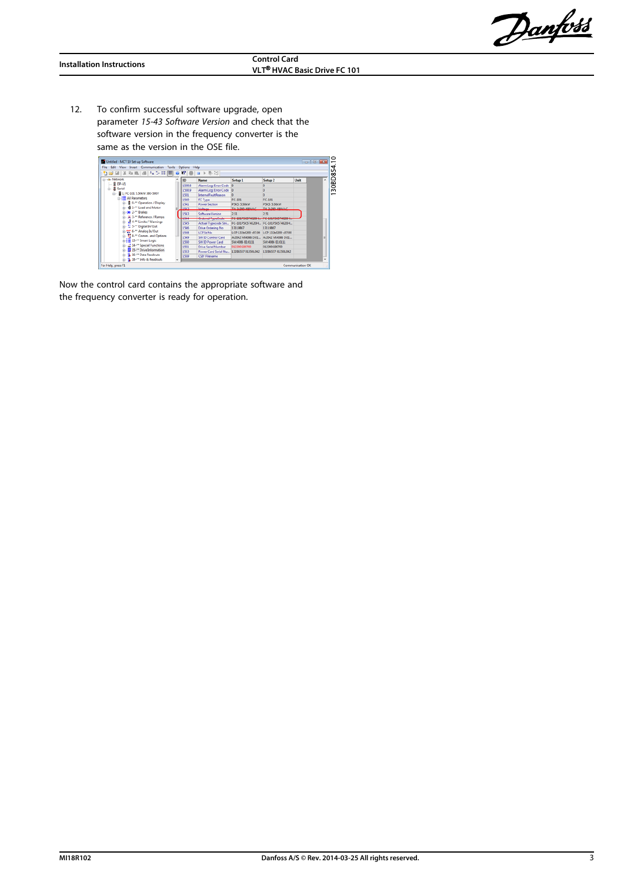Danfoss

12. To confirm successful software upgrade, open parameter 15-43 Software Version and check that the software version in the frequency converter is the same as the version in the OSE file.

| 12、日本では「エンド■●右右」→●☆                                       |        |                                         |                                         |                                       |      |   |
|-----------------------------------------------------------|--------|-----------------------------------------|-----------------------------------------|---------------------------------------|------|---|
| <b>EL-de Network</b>                                      | ID     | <b>Name</b>                             | Setup <sub>1</sub>                      | Setup <sub>2</sub>                    | Unit | × |
| $-$ <b>R</b> DP-V1                                        | 1530.8 | Alarm Log: Error Code                   |                                         |                                       |      |   |
| <b>G-</b> 且 Serial                                        | 1530.9 | Alarm Log: Error Code 0                 |                                         |                                       |      |   |
| A B 1: FC-101 5.50kW 380-500V                             | 1531   | InternalFaultReason                     |                                         |                                       |      |   |
| <b>DE All Parameters</b>                                  | 1540   | <b>FC Type</b>                          | FC-101                                  | FC-101                                |      |   |
| D 0-** Operation / Display                                | 1541   | <b>Power Section</b>                    | PSKS: S.SOKW                            | <b>PSKS: 5.50kW</b>                   |      |   |
| 41-" Load and Motor                                       | 35.43  | Madesaw                                 | TAL 3-305 ADDITACT                      | T4-3-300-400HAC                       |      |   |
| (a) 2-** Brakes                                           | 1547   | <b>Software Version</b>                 | 2.51                                    | 2.51                                  |      |   |
| (i) =<br>2. <sup>11</sup> Reference / Ramps               |        | <b>Continued as providents</b>          |                                         |                                       |      |   |
| (b) all 4- <sup>ex</sup> Limits / Warnings                | 1545   | Actual Typecode Stri                    | FC-101P5K5T4E20H., FC-101P5K5T4E20H.,   |                                       |      |   |
| 1. H. S. ** Digital In/Out                                | 1546   | Drive Ordering No                       | 13119867                                | 13119867                              |      |   |
| (i) 22' 6-** Analog In/Out                                | 1548   | LCP Id No.                              | LCP 132b0200 v07.00 LCP 132b0200 v07.00 |                                       |      |   |
| ☆ 분8-™ Comm. and Options                                  | 1549   | SW ID Control Card                      |                                         | A:2042 M:4086 D:01 A:2042 M:4086 D:01 |      |   |
| $\ln \frac{1}{2}$ $\equiv$ 13-" Smart Logic               | 1550   | SW ID Power Card                        | SW:4086 EE:0111                         | SW:4086 EE:0111                       |      |   |
| 22 14-** Special Functions                                | 1551   | Drive Serial Number                     | 012300099700                            | 012300G99700                          |      |   |
| 15-** Drive Information                                   | 1553   | Power Card Serial No 13286557 013501042 |                                         | 13286557 013501042                    |      |   |
| E- 3 16-** Data Readouts<br>(i) - 5 18-** Info & Readouts | 1559   | <b>CSIV Filename</b>                    |                                         |                                       |      |   |

Now the control card contains the appropriate software and the frequency converter is ready for operation.